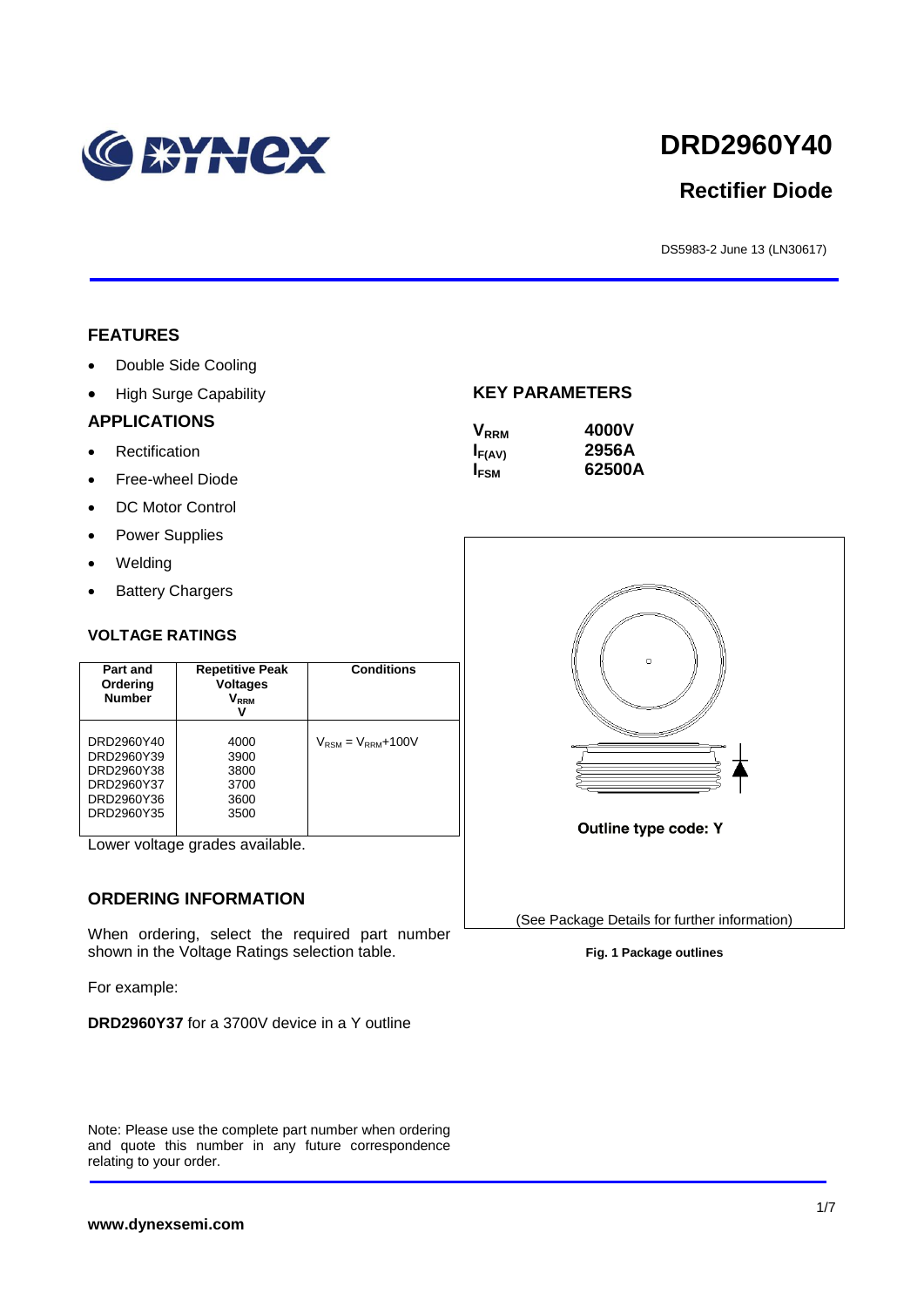

# **DRD2960Y40**

# **Rectifier Diode**

DS5983-2 June 13 (LN30617)

#### **FEATURES**

- Double Side Cooling
- High Surge Capability

#### **APPLICATIONS**

- Rectification
- Free-wheel Diode
- DC Motor Control
- Power Supplies
- Welding
- Battery Chargers

#### **VOLTAGE RATINGS**

| Part and<br>Ordering<br><b>Number</b>                                            | <b>Repetitive Peak</b><br><b>Voltages</b><br>Vrrm<br>v | <b>Conditions</b>                        |
|----------------------------------------------------------------------------------|--------------------------------------------------------|------------------------------------------|
| DRD2960Y40<br>DRD2960Y39<br>DRD2960Y38<br>DRD2960Y37<br>DRD2960Y36<br>DRD2960Y35 | 4000<br>3900<br>3800<br>3700<br>3600<br>3500           | $V_{\text{RSM}} = V_{\text{RRM}} + 100V$ |

Lower voltage grades available.

#### **ORDERING INFORMATION**

When ordering, select the required part number shown in the Voltage Ratings selection table.

For example:

**DRD2960Y37** for a 3700V device in a Y outline

Note: Please use the complete part number when ordering and quote this number in any future correspondence relating to your order.

#### **KEY PARAMETERS**

| <b>V</b> <sub>RRM</sub> | 4000V  |
|-------------------------|--------|
| $I_{F(AV)}$             | 2956A  |
| $I_{FSM}$               | 62500A |



**Fig. 1 Package outlines**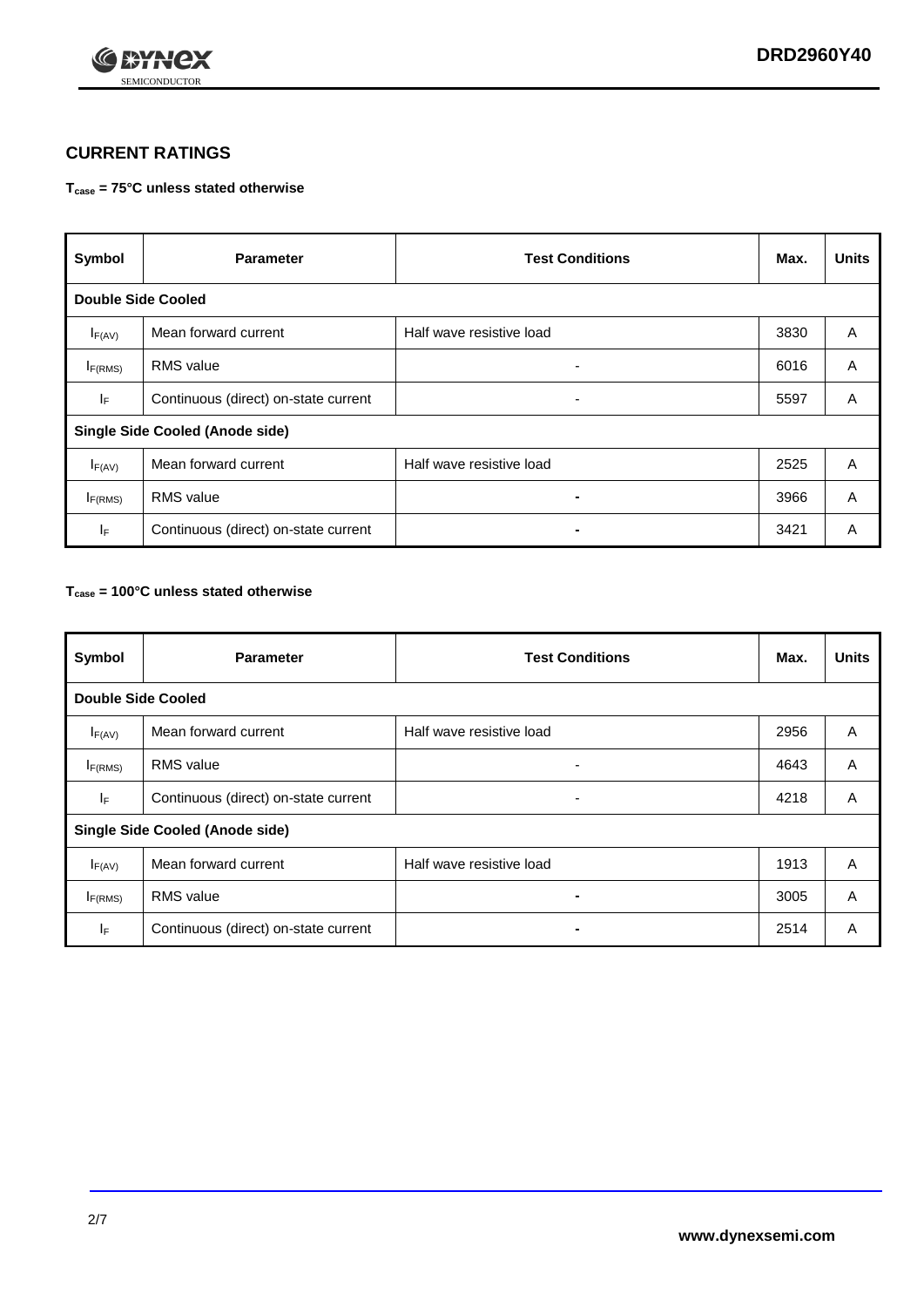

## **CURRENT RATINGS**

#### **Tcase = 75°C unless stated otherwise**

| Symbol                                 | <b>Parameter</b>                     | <b>Test Conditions</b>   | Max. | <b>Units</b> |  |  |  |
|----------------------------------------|--------------------------------------|--------------------------|------|--------------|--|--|--|
|                                        | <b>Double Side Cooled</b>            |                          |      |              |  |  |  |
| $I_{F(AV)}$                            | Mean forward current                 | Half wave resistive load | 3830 | A            |  |  |  |
| $I_{F(RMS)}$                           | <b>RMS</b> value                     | ۰                        | 6016 | A            |  |  |  |
| IF.                                    | Continuous (direct) on-state current | ۰                        | 5597 | A            |  |  |  |
| <b>Single Side Cooled (Anode side)</b> |                                      |                          |      |              |  |  |  |
| $I_{F(AV)}$                            | Mean forward current                 | Half wave resistive load | 2525 | A            |  |  |  |
| I <sub>F(RMS)</sub>                    | <b>RMS</b> value                     |                          | 3966 | A            |  |  |  |
| IF.                                    | Continuous (direct) on-state current |                          | 3421 | A            |  |  |  |

#### **Tcase = 100°C unless stated otherwise**

| Symbol                                 | <b>Parameter</b>                     | <b>Test Conditions</b>   | Max. | <b>Units</b> |  |
|----------------------------------------|--------------------------------------|--------------------------|------|--------------|--|
| <b>Double Side Cooled</b>              |                                      |                          |      |              |  |
| $I_{F(AV)}$                            | Mean forward current                 | Half wave resistive load | 2956 | A            |  |
| $I_{F(RMS)}$                           | <b>RMS</b> value                     | ٠                        | 4643 | A            |  |
| IF                                     | Continuous (direct) on-state current | ۰                        | 4218 | A            |  |
| <b>Single Side Cooled (Anode side)</b> |                                      |                          |      |              |  |
| $I_{F(AV)}$                            | Mean forward current                 | Half wave resistive load | 1913 | A            |  |
| $I_{F(RMS)}$                           | <b>RMS</b> value                     |                          | 3005 | A            |  |
| IF.                                    | Continuous (direct) on-state current | $\blacksquare$           | 2514 | A            |  |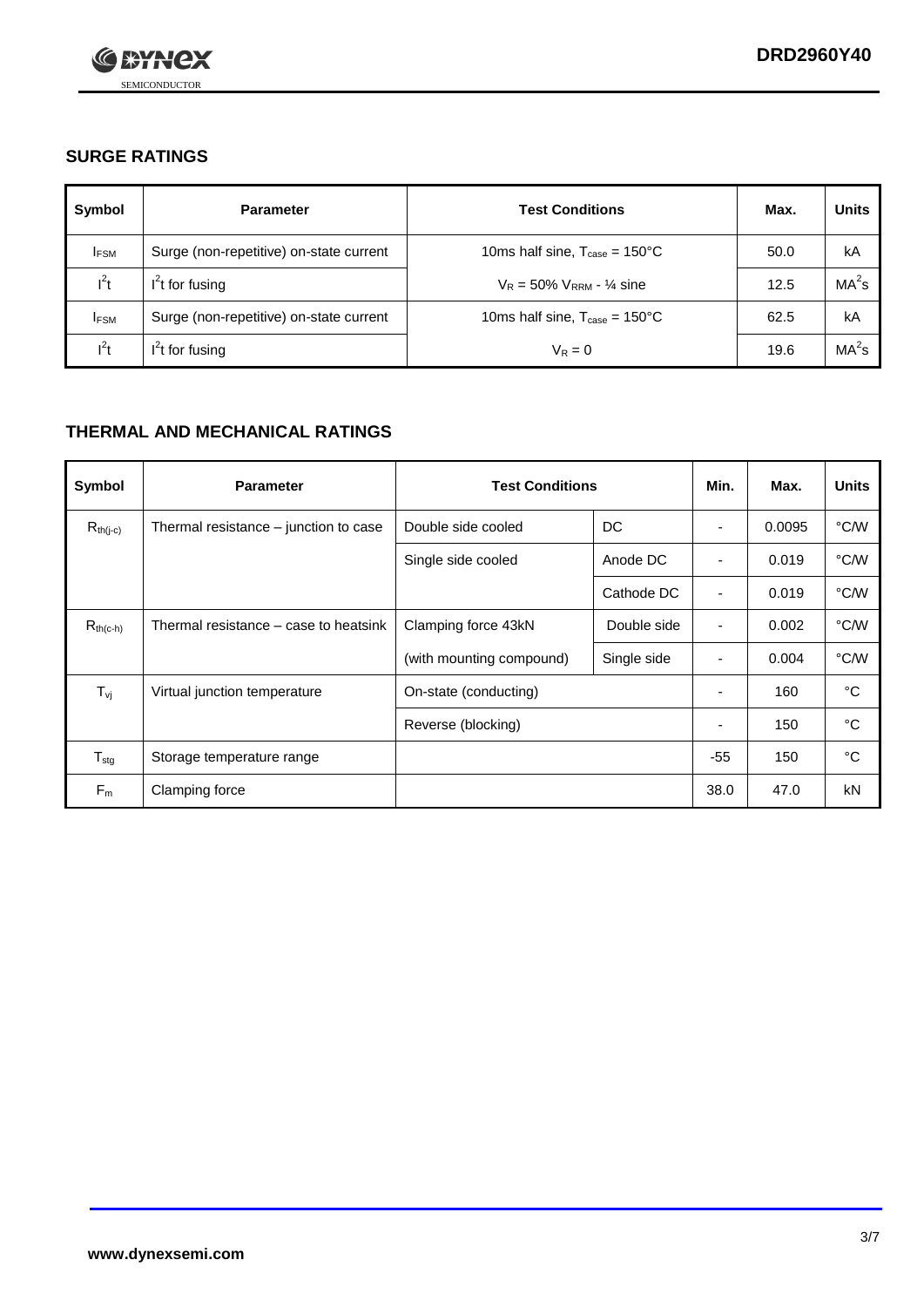

## **SURGE RATINGS**

| Symbol      | <b>Parameter</b>                        | <b>Test Conditions</b>                            | Max. | <b>Units</b>      |
|-------------|-----------------------------------------|---------------------------------------------------|------|-------------------|
| <b>IFSM</b> | Surge (non-repetitive) on-state current | 10ms half sine, $T_{\text{case}} = 150^{\circ}$ C | 50.0 | kA                |
| $l^2t$      | $I2t$ for fusing                        | $V_R = 50\% V_{RRM} - \frac{1}{4}$ sine           | 12.5 | MA <sup>2</sup> s |
| <b>IFSM</b> | Surge (non-repetitive) on-state current | 10ms half sine, $T_{\text{case}} = 150^{\circ}$ C | 62.5 | kA                |
| $l^2t$      | $I2t$ for fusing                        | $V_R = 0$                                         | 19.6 | MA <sup>2</sup> s |

## **THERMAL AND MECHANICAL RATINGS**

| Symbol            | <b>Parameter</b>                      | <b>Test Conditions</b>   |             | Min.                     | Max.   | <b>Units</b> |
|-------------------|---------------------------------------|--------------------------|-------------|--------------------------|--------|--------------|
| $R_{th(j-c)}$     | Thermal resistance – junction to case | Double side cooled       | DC          | ٠                        | 0.0095 | °C/W         |
|                   |                                       | Single side cooled       | Anode DC    | $\overline{\phantom{a}}$ | 0.019  | °C/W         |
|                   |                                       |                          | Cathode DC  | ٠                        | 0.019  | °C/W         |
| $R_{th(c-h)}$     | Thermal resistance – case to heatsink | Clamping force 43kN      | Double side | $\blacksquare$           | 0.002  | °C/W         |
|                   |                                       | (with mounting compound) | Single side | ٠                        | 0.004  | °C/W         |
| $T_{\mathsf{vj}}$ | Virtual junction temperature          | On-state (conducting)    |             | $\overline{\phantom{a}}$ | 160    | °C           |
|                   |                                       | Reverse (blocking)       |             | ٠                        | 150    | °C           |
| $T_{\text{stg}}$  | Storage temperature range             |                          |             | $-55$                    | 150    | °C           |
| $F_m$             | Clamping force                        |                          |             | 38.0                     | 47.0   | kN           |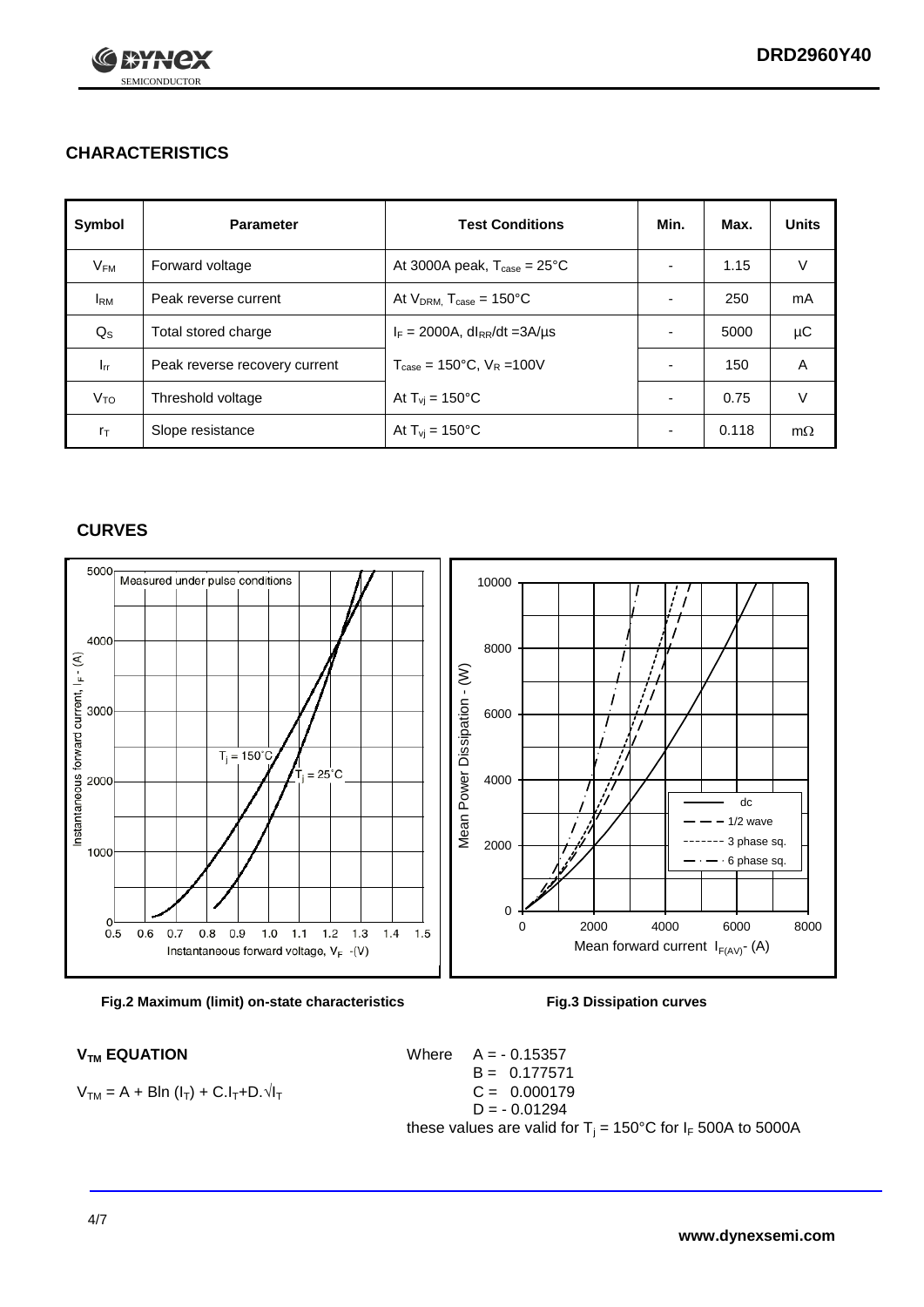

## **CHARACTERISTICS**

| Symbol                 | <b>Parameter</b>              | <b>Test Conditions</b>                          | Min.                     | Max.  | <b>Units</b> |
|------------------------|-------------------------------|-------------------------------------------------|--------------------------|-------|--------------|
| $V_{\mathsf{FM}}$      | Forward voltage               | At 3000A peak, $T_{\text{case}} = 25^{\circ}C$  | $\overline{\phantom{0}}$ | 1.15  | V            |
| <b>I</b> <sub>RM</sub> | Peak reverse current          | At $V_{DRM}$ , $T_{case} = 150^{\circ}$ C       | $\overline{\phantom{0}}$ | 250   | mA           |
| $Q_{\rm S}$            | Total stored charge           | $I_F = 2000A$ , dl <sub>RR</sub> /dt = 3A/µs    |                          | 5000  | μC           |
| $I_{rr}$               | Peak reverse recovery current | $T_{\text{case}} = 150^{\circ}$ C, $V_R = 100V$ |                          | 150   | A            |
| Vто                    | Threshold voltage             | At $T_{\rm{vj}}$ = 150°C                        | $\overline{\phantom{0}}$ | 0.75  | V            |
| $r_{\text{T}}$         | Slope resistance              | At $T_{\rm{vj}}$ = 150°C                        | ٠                        | 0.118 | $m\Omega$    |

#### **CURVES**





$$
V_{TM} = A + B\ln(I_T) + C.I_T + D.\sqrt{I_T}
$$

 $V_{TM}$  **EQUATION** Where  $A = -0.15357$  $B = 0.177571$  $C = 0.000179$  $D = -0.01294$ these values are valid for  $T_j = 150^{\circ}$ C for  $I_F$  500A to 5000A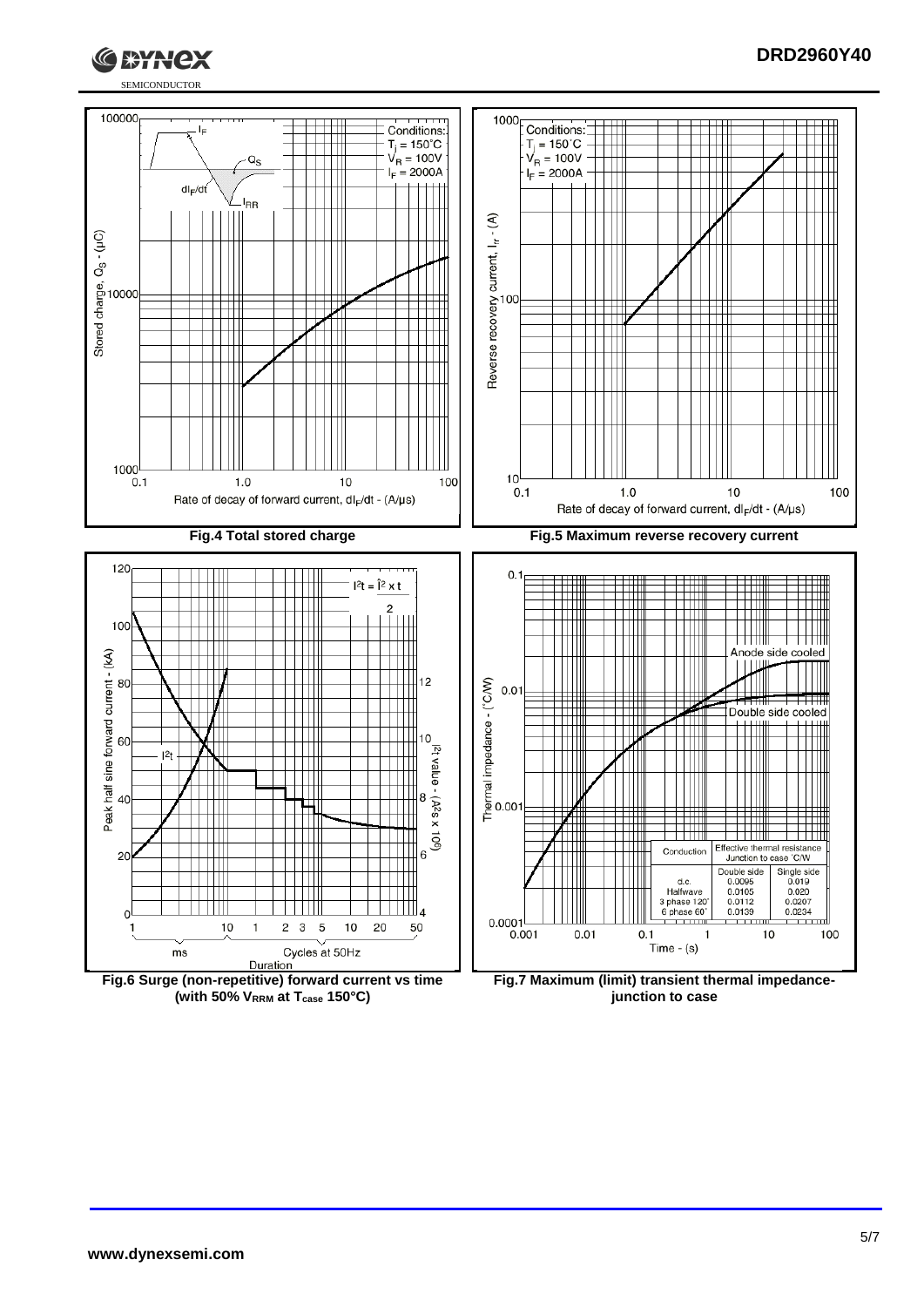

#### **DRD2960Y40**



**(with 50% VRRM at Tcase 150°C)**

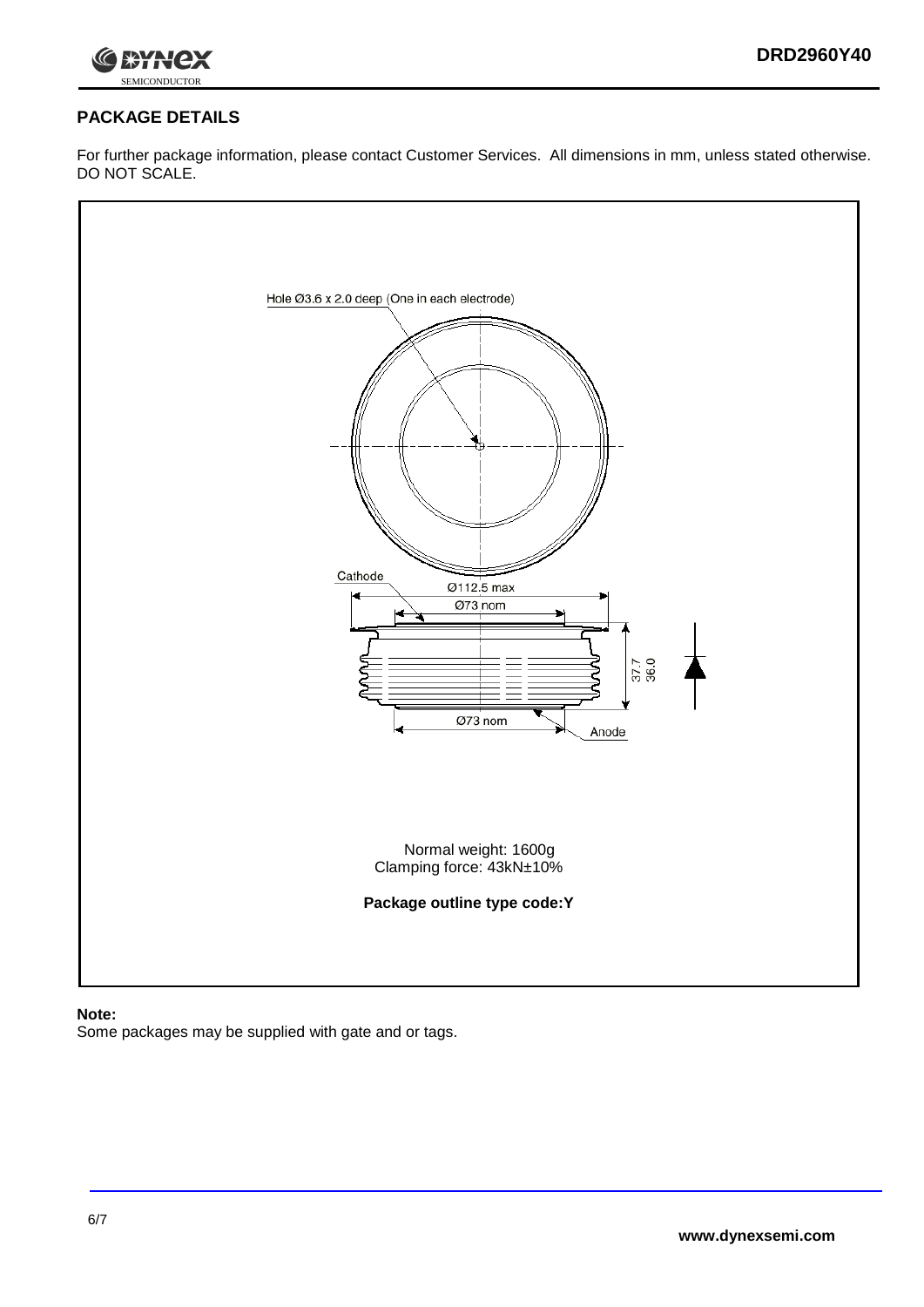



## **PACKAGE DETAILS**

For further package information, please contact Customer Services. All dimensions in mm, unless stated otherwise. DO NOT SCALE.



#### **Note:**

Some packages may be supplied with gate and or tags.